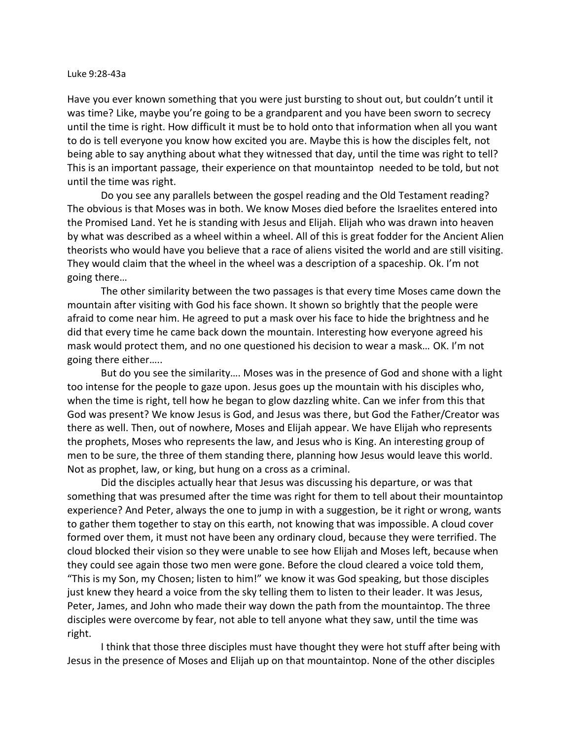## Luke 9:28-43a

Have you ever known something that you were just bursting to shout out, but couldn't until it was time? Like, maybe you're going to be a grandparent and you have been sworn to secrecy until the time is right. How difficult it must be to hold onto that information when all you want to do is tell everyone you know how excited you are. Maybe this is how the disciples felt, not being able to say anything about what they witnessed that day, until the time was right to tell? This is an important passage, their experience on that mountaintop needed to be told, but not until the time was right.

Do you see any parallels between the gospel reading and the Old Testament reading? The obvious is that Moses was in both. We know Moses died before the Israelites entered into the Promised Land. Yet he is standing with Jesus and Elijah. Elijah who was drawn into heaven by what was described as a wheel within a wheel. All of this is great fodder for the Ancient Alien theorists who would have you believe that a race of aliens visited the world and are still visiting. They would claim that the wheel in the wheel was a description of a spaceship. Ok. I'm not going there…

The other similarity between the two passages is that every time Moses came down the mountain after visiting with God his face shown. It shown so brightly that the people were afraid to come near him. He agreed to put a mask over his face to hide the brightness and he did that every time he came back down the mountain. Interesting how everyone agreed his mask would protect them, and no one questioned his decision to wear a mask… OK. I'm not going there either…..

But do you see the similarity…. Moses was in the presence of God and shone with a light too intense for the people to gaze upon. Jesus goes up the mountain with his disciples who, when the time is right, tell how he began to glow dazzling white. Can we infer from this that God was present? We know Jesus is God, and Jesus was there, but God the Father/Creator was there as well. Then, out of nowhere, Moses and Elijah appear. We have Elijah who represents the prophets, Moses who represents the law, and Jesus who is King. An interesting group of men to be sure, the three of them standing there, planning how Jesus would leave this world. Not as prophet, law, or king, but hung on a cross as a criminal.

Did the disciples actually hear that Jesus was discussing his departure, or was that something that was presumed after the time was right for them to tell about their mountaintop experience? And Peter, always the one to jump in with a suggestion, be it right or wrong, wants to gather them together to stay on this earth, not knowing that was impossible. A cloud cover formed over them, it must not have been any ordinary cloud, because they were terrified. The cloud blocked their vision so they were unable to see how Elijah and Moses left, because when they could see again those two men were gone. Before the cloud cleared a voice told them, "This is my Son, my Chosen; listen to him!" we know it was God speaking, but those disciples just knew they heard a voice from the sky telling them to listen to their leader. It was Jesus, Peter, James, and John who made their way down the path from the mountaintop. The three disciples were overcome by fear, not able to tell anyone what they saw, until the time was right.

I think that those three disciples must have thought they were hot stuff after being with Jesus in the presence of Moses and Elijah up on that mountaintop. None of the other disciples